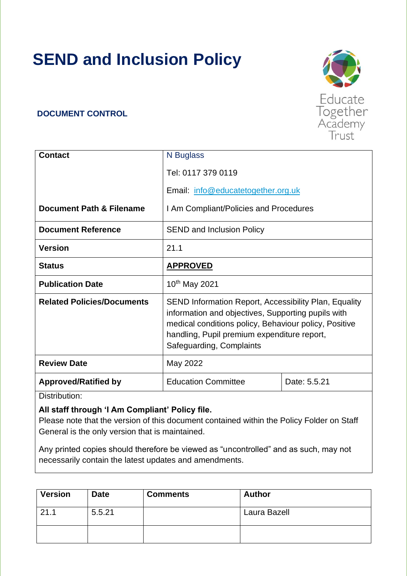# **SEND and Inclusion Policy**

#### **DOCUMENT CONTROL**

| <b>Contact</b>                    | N Buglass                                                                                                                                                                                                                                              |              |  |
|-----------------------------------|--------------------------------------------------------------------------------------------------------------------------------------------------------------------------------------------------------------------------------------------------------|--------------|--|
|                                   | Tel: 0117 379 0119                                                                                                                                                                                                                                     |              |  |
|                                   | Email: info@educatetogether.org.uk                                                                                                                                                                                                                     |              |  |
| Document Path & Filename          | I Am Compliant/Policies and Procedures                                                                                                                                                                                                                 |              |  |
| <b>Document Reference</b>         | <b>SEND and Inclusion Policy</b>                                                                                                                                                                                                                       |              |  |
| <b>Version</b>                    | 21.1                                                                                                                                                                                                                                                   |              |  |
| <b>Status</b>                     | <b>APPROVED</b>                                                                                                                                                                                                                                        |              |  |
| <b>Publication Date</b>           | 10 <sup>th</sup> May 2021                                                                                                                                                                                                                              |              |  |
| <b>Related Policies/Documents</b> | <b>SEND Information Report, Accessibility Plan, Equality</b><br>information and objectives, Supporting pupils with<br>medical conditions policy, Behaviour policy, Positive<br>handling, Pupil premium expenditure report,<br>Safeguarding, Complaints |              |  |
| <b>Review Date</b>                | May 2022                                                                                                                                                                                                                                               |              |  |
| <b>Approved/Ratified by</b>       | <b>Education Committee</b>                                                                                                                                                                                                                             | Date: 5.5.21 |  |

Distribution:

#### **All staff through 'I Am Compliant' Policy file.**

Please note that the version of this document contained within the Policy Folder on Staff General is the only version that is maintained.

Any printed copies should therefore be viewed as "uncontrolled" and as such, may not necessarily contain the latest updates and amendments.

| <b>Version</b> | <b>Date</b> | <b>Comments</b> | <b>Author</b> |
|----------------|-------------|-----------------|---------------|
| 21.1           | 5.5.21      |                 | Laura Bazell  |
|                |             |                 |               |

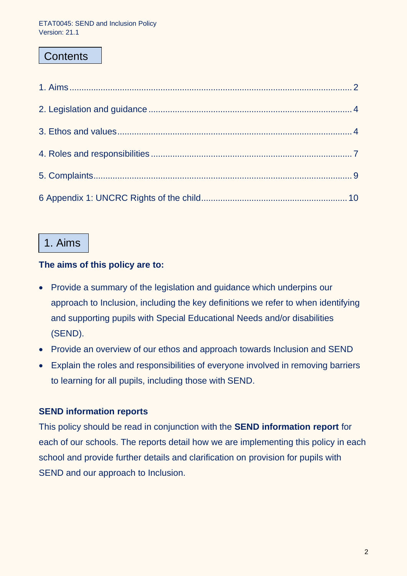# **Contents**

# 1. Aims

#### **The aims of this policy are to:**

- Provide a summary of the legislation and guidance which underpins our approach to Inclusion, including the key definitions we refer to when identifying and supporting pupils with Special Educational Needs and/or disabilities (SEND).
- Provide an overview of our ethos and approach towards Inclusion and SEND
- Explain the roles and responsibilities of everyone involved in removing barriers to learning for all pupils, including those with SEND.

# **SEND information reports**

This policy should be read in conjunction with the **SEND information report** for each of our schools. The reports detail how we are implementing this policy in each school and provide further details and clarification on provision for pupils with SEND and our approach to Inclusion.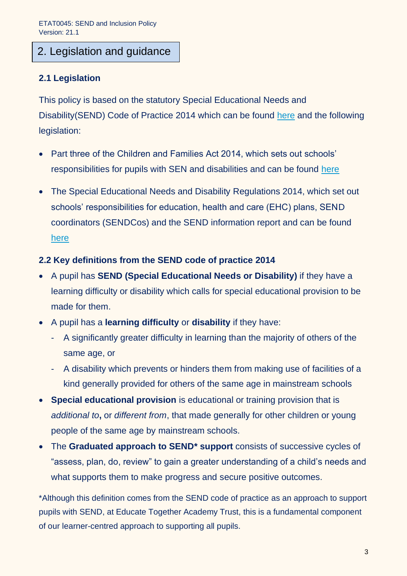# 2. Legislation and guidance

### **2.1 Legislation**

This policy is based on the statutory Special Educational Needs and Disability(SEND) Code of Practice 2014 which can be found [here](https://assets.publishing.service.gov.uk/government/uploads/system/uploads/attachment_data/file/398815/SEND_Code_of_Practice_January_2015.pdf) and the following legislation:

- Part three of the Children and Families Act 2014, which sets out schools' responsibilities for pupils with SEN and disabilities and can be found [here](https://www.legislation.gov.uk/ukpga/2014/6/part/3)
- The Special Educational Needs and Disability Regulations 2014, which set out schools' responsibilities for education, health and care (EHC) plans, SEND coordinators (SENDCos) and the SEND information report and can be found [here](https://www.legislation.gov.uk/uksi/2014/1530/contents/made)

#### **2.2 Key definitions from the SEND code of practice 2014**

- A pupil has **SEND (Special Educational Needs or Disability)** if they have a learning difficulty or disability which calls for special educational provision to be made for them.
- A pupil has a **learning difficulty** or **disability** if they have:
	- A significantly greater difficulty in learning than the majority of others of the same age, or
	- A disability which prevents or hinders them from making use of facilities of a kind generally provided for others of the same age in mainstream schools
- **Special educational provision** is educational or training provision that is *additional to***,** or *different from*, that made generally for other children or young people of the same age by mainstream schools.
- The **Graduated approach to SEND\* support** consists of successive cycles of "assess, plan, do, review" to gain a greater understanding of a child's needs and what supports them to make progress and secure positive outcomes.

\*Although this definition comes from the SEND code of practice as an approach to support pupils with SEND, at Educate Together Academy Trust, this is a fundamental component of our learner-centred approach to supporting all pupils.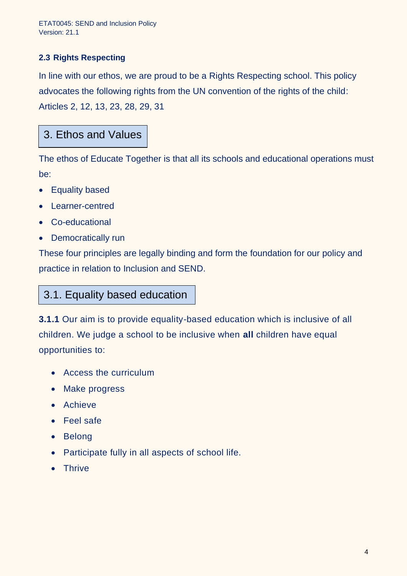#### **2.3 Rights Respecting**

In line with our ethos, we are proud to be a Rights Respecting school. This policy advocates the following rights from the UN convention of the rights of the child: Articles 2, 12, 13, 23, 28, 29, 31

# 3. Ethos and Values

The ethos of Educate Together is that all its schools and educational operations must be:

- Equality based
- Learner-centred
- Co-educational
- Democratically run

These four principles are legally binding and form the foundation for our policy and practice in relation to Inclusion and SEND.

# 3.1. Equality based education

**3.1.1** Our aim is to provide equality-based education which is inclusive of all children. We judge a school to be inclusive when **all** children have equal opportunities to:

- Access the curriculum
- Make progress
- Achieve
- Feel safe
- Belong
- Participate fully in all aspects of school life.
- Thrive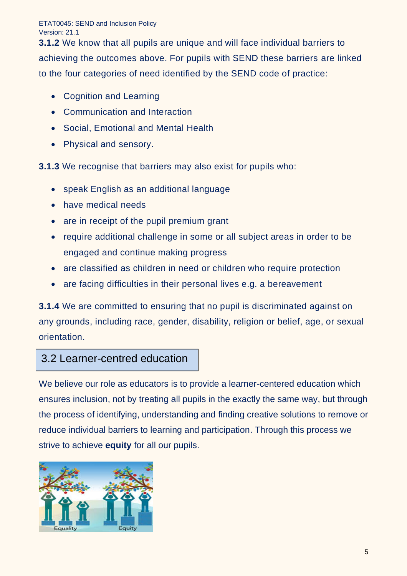ETAT0045: SEND and Inclusion Policy Version: 21.1

**3.1.2** We know that all pupils are unique and will face individual barriers to achieving the outcomes above. For pupils with SEND these barriers are linked to the four categories of need identified by the SEND code of practice:

- Cognition and Learning
- Communication and Interaction
- Social, Emotional and Mental Health
- Physical and sensory.

**3.1.3** We recognise that barriers may also exist for pupils who:

- speak English as an additional language
- have medical needs
- are in receipt of the pupil premium grant
- require additional challenge in some or all subject areas in order to be engaged and continue making progress
- are classified as children in need or children who require protection
- are facing difficulties in their personal lives e.g. a bereavement

**3.1.4** We are committed to ensuring that no pupil is discriminated against on any grounds, including race, gender, disability, religion or belief, age, or sexual orientation.

# 3.2 Learner-centred education

We believe our role as educators is to provide a learner-centered education which ensures inclusion, not by treating all pupils in the exactly the same way, but through the process of identifying, understanding and finding creative solutions to remove or reduce individual barriers to learning and participation. Through this process we strive to achieve **equity** for all our pupils.

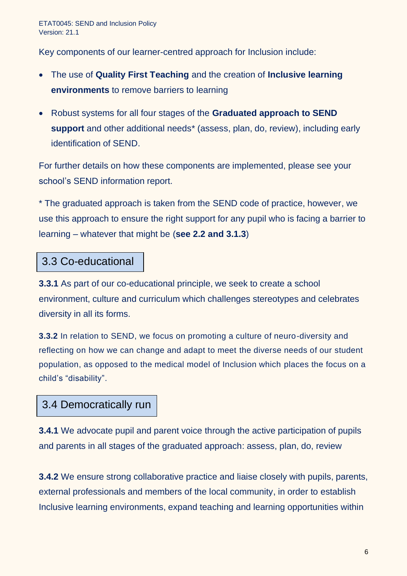Key components of our learner-centred approach for Inclusion include:

- The use of **Quality First Teaching** and the creation of **Inclusive learning environments** to remove barriers to learning
- Robust systems for all four stages of the **Graduated approach to SEND support** and other additional needs\* (assess, plan, do, review), including early identification of SEND.

For further details on how these components are implemented, please see your school's SEND information report.

\* The graduated approach is taken from the SEND code of practice, however, we use this approach to ensure the right support for any pupil who is facing a barrier to learning – whatever that might be (**see 2.2 and 3.1.3**)

# 3.3 Co-educational

**3.3.1** As part of our co-educational principle, we seek to create a school environment, culture and curriculum which challenges stereotypes and celebrates diversity in all its forms.

**3.3.2** In relation to SEND, we focus on promoting a culture of neuro-diversity and reflecting on how we can change and adapt to meet the diverse needs of our student population, as opposed to the medical model of Inclusion which places the focus on a child's "disability".

# 3.4 Democratically run

**3.4.1** We advocate pupil and parent voice through the active participation of pupils and parents in all stages of the graduated approach: assess, plan, do, review

**3.4.2** We ensure strong collaborative practice and liaise closely with pupils, parents, external professionals and members of the local community, in order to establish Inclusive learning environments, expand teaching and learning opportunities within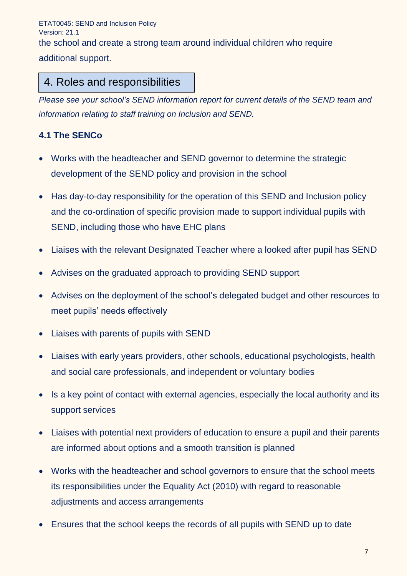ETAT0045: SEND and Inclusion Policy Version: 21.1 the school and create a strong team around individual children who require additional support.

# 4. Roles and responsibilities

*Please see your school's SEND information report for current details of the SEND team and information relating to staff training on Inclusion and SEND.* 

### **4.1 The SENCo**

- Works with the headteacher and SEND governor to determine the strategic development of the SEND policy and provision in the school
- Has day-to-day responsibility for the operation of this SEND and Inclusion policy and the co-ordination of specific provision made to support individual pupils with SEND, including those who have EHC plans
- Liaises with the relevant Designated Teacher where a looked after pupil has SEND
- Advises on the graduated approach to providing SEND support
- Advises on the deployment of the school's delegated budget and other resources to meet pupils' needs effectively
- Liaises with parents of pupils with SEND
- Liaises with early years providers, other schools, educational psychologists, health and social care professionals, and independent or voluntary bodies
- Is a key point of contact with external agencies, especially the local authority and its support services
- Liaises with potential next providers of education to ensure a pupil and their parents are informed about options and a smooth transition is planned
- Works with the headteacher and school governors to ensure that the school meets its responsibilities under the Equality Act (2010) with regard to reasonable adjustments and access arrangements
- Ensures that the school keeps the records of all pupils with SEND up to date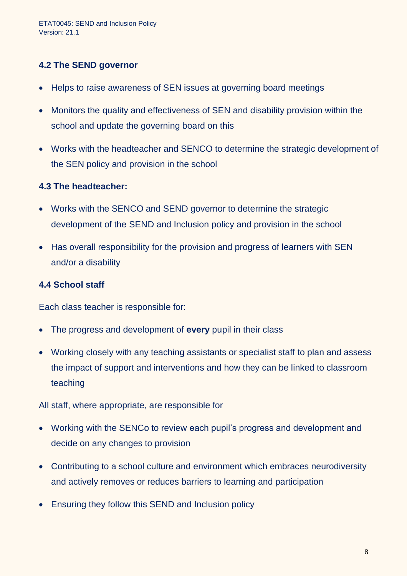#### **4.2 The SEND governor**

- Helps to raise awareness of SEN issues at governing board meetings
- Monitors the quality and effectiveness of SEN and disability provision within the school and update the governing board on this
- Works with the headteacher and SENCO to determine the strategic development of the SEN policy and provision in the school

#### **4.3 The headteacher:**

- Works with the SENCO and SEND governor to determine the strategic development of the SEND and Inclusion policy and provision in the school
- Has overall responsibility for the provision and progress of learners with SEN and/or a disability

#### **4.4 School staff**

Each class teacher is responsible for:

- The progress and development of **every** pupil in their class
- Working closely with any teaching assistants or specialist staff to plan and assess the impact of support and interventions and how they can be linked to classroom teaching

All staff, where appropriate, are responsible for

- Working with the SENCo to review each pupil's progress and development and decide on any changes to provision
- Contributing to a school culture and environment which embraces neurodiversity and actively removes or reduces barriers to learning and participation
- Ensuring they follow this SEND and Inclusion policy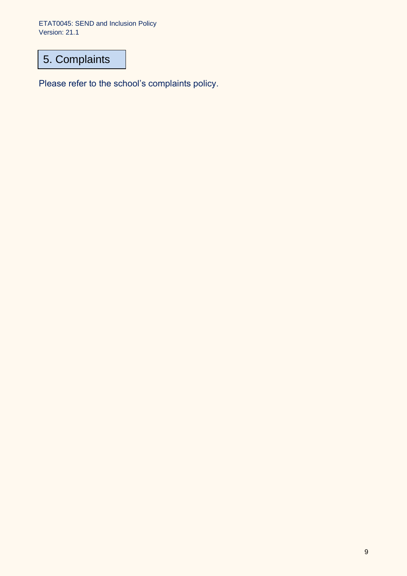ETAT0045: SEND and Inclusion Policy Version: 21.1

# 5. Complaints

Please refer to the school's complaints policy.